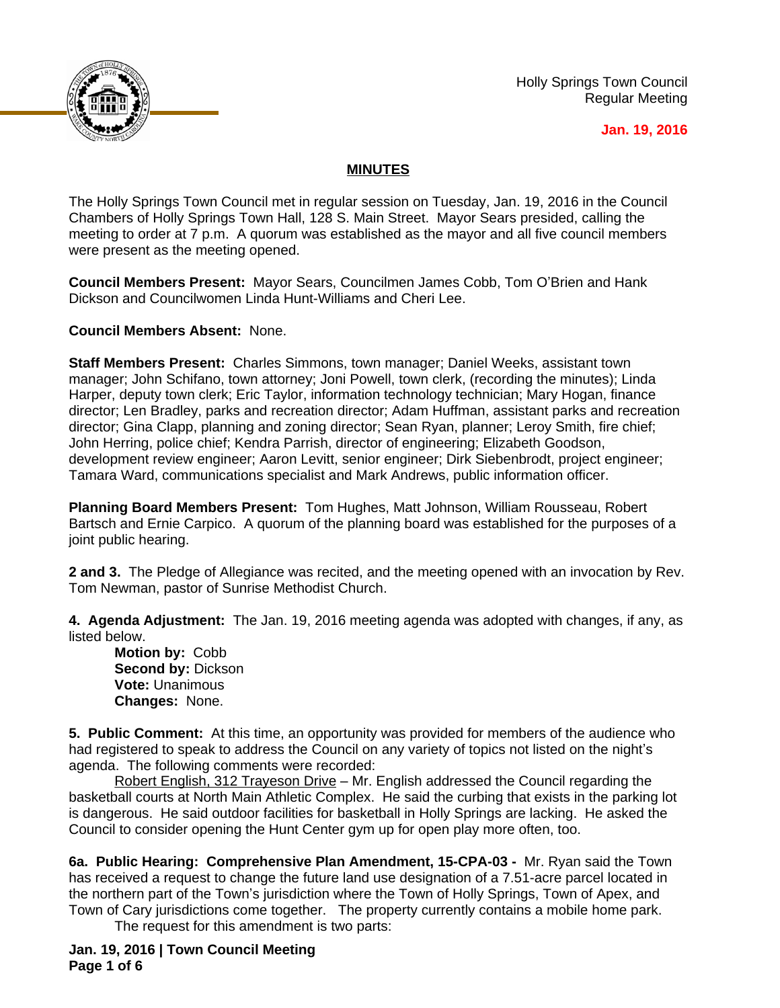

Holly Springs Town Council Regular Meeting

## **Jan. 19, 2016**

## **MINUTES**

The Holly Springs Town Council met in regular session on Tuesday, Jan. 19, 2016 in the Council Chambers of Holly Springs Town Hall, 128 S. Main Street. Mayor Sears presided, calling the meeting to order at 7 p.m. A quorum was established as the mayor and all five council members were present as the meeting opened.

**Council Members Present:** Mayor Sears, Councilmen James Cobb, Tom O'Brien and Hank Dickson and Councilwomen Linda Hunt-Williams and Cheri Lee.

**Council Members Absent:** None.

**Staff Members Present:** Charles Simmons, town manager; Daniel Weeks, assistant town manager; John Schifano, town attorney; Joni Powell, town clerk, (recording the minutes); Linda Harper, deputy town clerk; Eric Taylor, information technology technician; Mary Hogan, finance director; Len Bradley, parks and recreation director; Adam Huffman, assistant parks and recreation director; Gina Clapp, planning and zoning director; Sean Ryan, planner; Leroy Smith, fire chief; John Herring, police chief; Kendra Parrish, director of engineering; Elizabeth Goodson, development review engineer; Aaron Levitt, senior engineer; Dirk Siebenbrodt, project engineer; Tamara Ward, communications specialist and Mark Andrews, public information officer.

**Planning Board Members Present:** Tom Hughes, Matt Johnson, William Rousseau, Robert Bartsch and Ernie Carpico. A quorum of the planning board was established for the purposes of a joint public hearing.

**2 and 3.** The Pledge of Allegiance was recited, and the meeting opened with an invocation by Rev. Tom Newman, pastor of Sunrise Methodist Church.

**4. Agenda Adjustment:** The Jan. 19, 2016 meeting agenda was adopted with changes, if any, as listed below.

**Motion by:** Cobb **Second by:** Dickson **Vote:** Unanimous **Changes:** None.

**5. Public Comment:** At this time, an opportunity was provided for members of the audience who had registered to speak to address the Council on any variety of topics not listed on the night's agenda. The following comments were recorded:

Robert English, 312 Trayeson Drive – Mr. English addressed the Council regarding the basketball courts at North Main Athletic Complex. He said the curbing that exists in the parking lot is dangerous. He said outdoor facilities for basketball in Holly Springs are lacking. He asked the Council to consider opening the Hunt Center gym up for open play more often, too.

**6a. Public Hearing: Comprehensive Plan Amendment, 15-CPA-03 -** Mr. Ryan said the Town has received a request to change the future land use designation of a 7.51-acre parcel located in the northern part of the Town's jurisdiction where the Town of Holly Springs, Town of Apex, and Town of Cary jurisdictions come together. The property currently contains a mobile home park.

The request for this amendment is two parts:

**Jan. 19, 2016 | Town Council Meeting Page 1 of 6**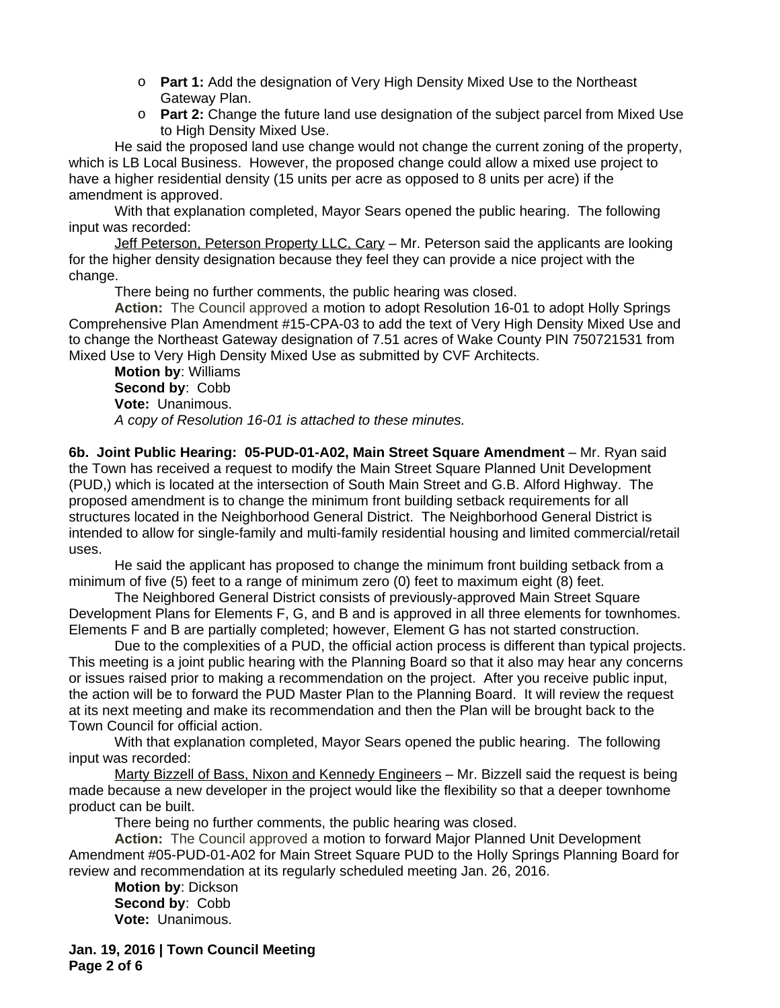- o **Part 1:** Add the designation of Very High Density Mixed Use to the Northeast Gateway Plan.
- o **Part 2:** Change the future land use designation of the subject parcel from Mixed Use to High Density Mixed Use.

He said the proposed land use change would not change the current zoning of the property, which is LB Local Business. However, the proposed change could allow a mixed use project to have a higher residential density (15 units per acre as opposed to 8 units per acre) if the amendment is approved.

With that explanation completed, Mayor Sears opened the public hearing. The following input was recorded:

Jeff Peterson, Peterson Property LLC, Cary - Mr. Peterson said the applicants are looking for the higher density designation because they feel they can provide a nice project with the change.

There being no further comments, the public hearing was closed.

**Action:** The Council approved a motion to adopt Resolution 16-01 to adopt Holly Springs Comprehensive Plan Amendment #15-CPA-03 to add the text of Very High Density Mixed Use and to change the Northeast Gateway designation of 7.51 acres of Wake County PIN 750721531 from Mixed Use to Very High Density Mixed Use as submitted by CVF Architects.

**Motion by**: Williams **Second by**: Cobb **Vote:** Unanimous. *A copy of Resolution 16-01 is attached to these minutes.*

**6b. Joint Public Hearing: 05-PUD-01-A02, Main Street Square Amendment** – Mr. Ryan said the Town has received a request to modify the Main Street Square Planned Unit Development (PUD,) which is located at the intersection of South Main Street and G.B. Alford Highway. The proposed amendment is to change the minimum front building setback requirements for all structures located in the Neighborhood General District. The Neighborhood General District is intended to allow for single-family and multi-family residential housing and limited commercial/retail uses.

He said the applicant has proposed to change the minimum front building setback from a minimum of five (5) feet to a range of minimum zero (0) feet to maximum eight (8) feet.

The Neighbored General District consists of previously-approved Main Street Square Development Plans for Elements F, G, and B and is approved in all three elements for townhomes. Elements F and B are partially completed; however, Element G has not started construction.

Due to the complexities of a PUD, the official action process is different than typical projects. This meeting is a joint public hearing with the Planning Board so that it also may hear any concerns or issues raised prior to making a recommendation on the project. After you receive public input, the action will be to forward the PUD Master Plan to the Planning Board. It will review the request at its next meeting and make its recommendation and then the Plan will be brought back to the Town Council for official action.

With that explanation completed, Mayor Sears opened the public hearing. The following input was recorded:

Marty Bizzell of Bass, Nixon and Kennedy Engineers - Mr. Bizzell said the request is being made because a new developer in the project would like the flexibility so that a deeper townhome product can be built.

There being no further comments, the public hearing was closed.

**Action:** The Council approved a motion to forward Major Planned Unit Development Amendment #05-PUD-01-A02 for Main Street Square PUD to the Holly Springs Planning Board for review and recommendation at its regularly scheduled meeting Jan. 26, 2016.

**Motion by**: Dickson **Second by**: Cobb **Vote:** Unanimous.

**Jan. 19, 2016 | Town Council Meeting Page 2 of 6**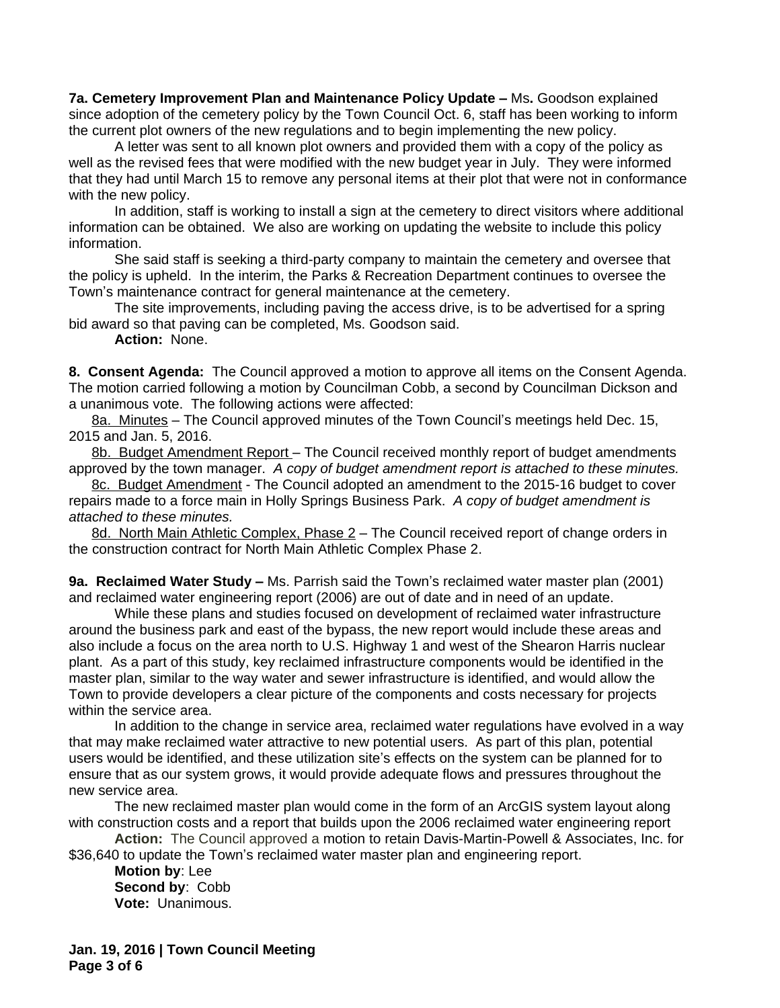**7a. Cemetery Improvement Plan and Maintenance Policy Update - Ms. Goodson explained** since adoption of the cemetery policy by the Town Council Oct. 6, staff has been working to inform the current plot owners of the new regulations and to begin implementing the new policy.

A letter was sent to all known plot owners and provided them with a copy of the policy as well as the revised fees that were modified with the new budget year in July. They were informed that they had until March 15 to remove any personal items at their plot that were not in conformance with the new policy.

In addition, staff is working to install a sign at the cemetery to direct visitors where additional information can be obtained. We also are working on updating the website to include this policy information.

She said staff is seeking a third-party company to maintain the cemetery and oversee that the policy is upheld. In the interim, the Parks & Recreation Department continues to oversee the Town's maintenance contract for general maintenance at the cemetery.

The site improvements, including paving the access drive, is to be advertised for a spring bid award so that paving can be completed, Ms. Goodson said.

**Action:** None.

**8. Consent Agenda:** The Council approved a motion to approve all items on the Consent Agenda. The motion carried following a motion by Councilman Cobb, a second by Councilman Dickson and a unanimous vote. The following actions were affected:

8a. Minutes – The Council approved minutes of the Town Council's meetings held Dec. 15, 2015 and Jan. 5, 2016.

8b. Budget Amendment Report – The Council received monthly report of budget amendments approved by the town manager. *A copy of budget amendment report is attached to these minutes.*

8c. Budget Amendment - The Council adopted an amendment to the 2015-16 budget to cover repairs made to a force main in Holly Springs Business Park. *A copy of budget amendment is attached to these minutes.* 

8d. North Main Athletic Complex, Phase 2 – The Council received report of change orders in the construction contract for North Main Athletic Complex Phase 2.

**9a. Reclaimed Water Study –** Ms. Parrish said the Town's reclaimed water master plan (2001) and reclaimed water engineering report (2006) are out of date and in need of an update.

While these plans and studies focused on development of reclaimed water infrastructure around the business park and east of the bypass, the new report would include these areas and also include a focus on the area north to U.S. Highway 1 and west of the Shearon Harris nuclear plant. As a part of this study, key reclaimed infrastructure components would be identified in the master plan, similar to the way water and sewer infrastructure is identified, and would allow the Town to provide developers a clear picture of the components and costs necessary for projects within the service area.

In addition to the change in service area, reclaimed water regulations have evolved in a way that may make reclaimed water attractive to new potential users. As part of this plan, potential users would be identified, and these utilization site's effects on the system can be planned for to ensure that as our system grows, it would provide adequate flows and pressures throughout the new service area.

The new reclaimed master plan would come in the form of an ArcGIS system layout along with construction costs and a report that builds upon the 2006 reclaimed water engineering report

**Action:** The Council approved a motion to retain Davis-Martin-Powell & Associates, Inc. for \$36,640 to update the Town's reclaimed water master plan and engineering report.

**Motion by**: Lee **Second by**: Cobb **Vote:** Unanimous.

**Jan. 19, 2016 | Town Council Meeting Page 3 of 6**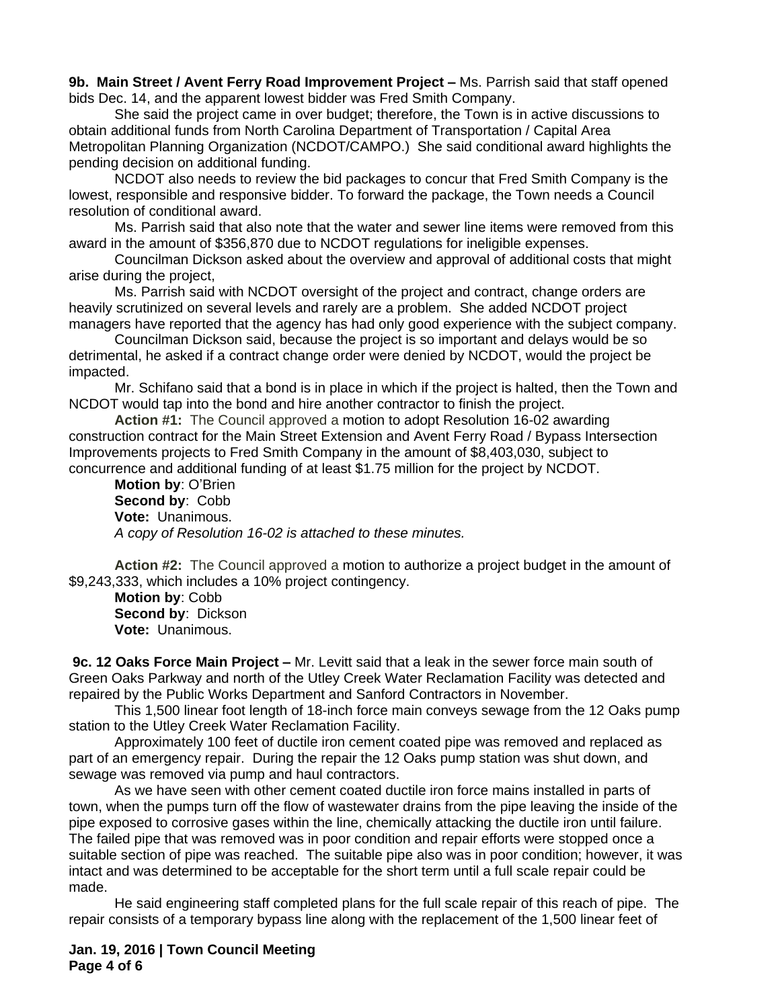**9b. Main Street / Avent Ferry Road Improvement Project –** Ms. Parrish said that staff opened bids Dec. 14, and the apparent lowest bidder was Fred Smith Company.

She said the project came in over budget; therefore, the Town is in active discussions to obtain additional funds from North Carolina Department of Transportation / Capital Area Metropolitan Planning Organization (NCDOT/CAMPO.) She said conditional award highlights the pending decision on additional funding.

NCDOT also needs to review the bid packages to concur that Fred Smith Company is the lowest, responsible and responsive bidder. To forward the package, the Town needs a Council resolution of conditional award.

Ms. Parrish said that also note that the water and sewer line items were removed from this award in the amount of \$356,870 due to NCDOT regulations for ineligible expenses.

Councilman Dickson asked about the overview and approval of additional costs that might arise during the project,

Ms. Parrish said with NCDOT oversight of the project and contract, change orders are heavily scrutinized on several levels and rarely are a problem. She added NCDOT project managers have reported that the agency has had only good experience with the subject company.

Councilman Dickson said, because the project is so important and delays would be so detrimental, he asked if a contract change order were denied by NCDOT, would the project be impacted.

Mr. Schifano said that a bond is in place in which if the project is halted, then the Town and NCDOT would tap into the bond and hire another contractor to finish the project.

**Action #1:** The Council approved a motion to adopt Resolution 16-02 awarding construction contract for the Main Street Extension and Avent Ferry Road / Bypass Intersection Improvements projects to Fred Smith Company in the amount of \$8,403,030, subject to concurrence and additional funding of at least \$1.75 million for the project by NCDOT.

**Motion by**: O'Brien **Second by**: Cobb **Vote:** Unanimous. *A copy of Resolution 16-02 is attached to these minutes.*

**Action #2:** The Council approved a motion to authorize a project budget in the amount of \$9,243,333, which includes a 10% project contingency.

**Motion by**: Cobb **Second by**: Dickson **Vote:** Unanimous.

**9c. 12 Oaks Force Main Project –** Mr. Levitt said that a leak in the sewer force main south of Green Oaks Parkway and north of the Utley Creek Water Reclamation Facility was detected and repaired by the Public Works Department and Sanford Contractors in November.

This 1,500 linear foot length of 18-inch force main conveys sewage from the 12 Oaks pump station to the Utley Creek Water Reclamation Facility.

Approximately 100 feet of ductile iron cement coated pipe was removed and replaced as part of an emergency repair. During the repair the 12 Oaks pump station was shut down, and sewage was removed via pump and haul contractors.

As we have seen with other cement coated ductile iron force mains installed in parts of town, when the pumps turn off the flow of wastewater drains from the pipe leaving the inside of the pipe exposed to corrosive gases within the line, chemically attacking the ductile iron until failure. The failed pipe that was removed was in poor condition and repair efforts were stopped once a suitable section of pipe was reached. The suitable pipe also was in poor condition; however, it was intact and was determined to be acceptable for the short term until a full scale repair could be made.

He said engineering staff completed plans for the full scale repair of this reach of pipe. The repair consists of a temporary bypass line along with the replacement of the 1,500 linear feet of

**Jan. 19, 2016 | Town Council Meeting Page 4 of 6**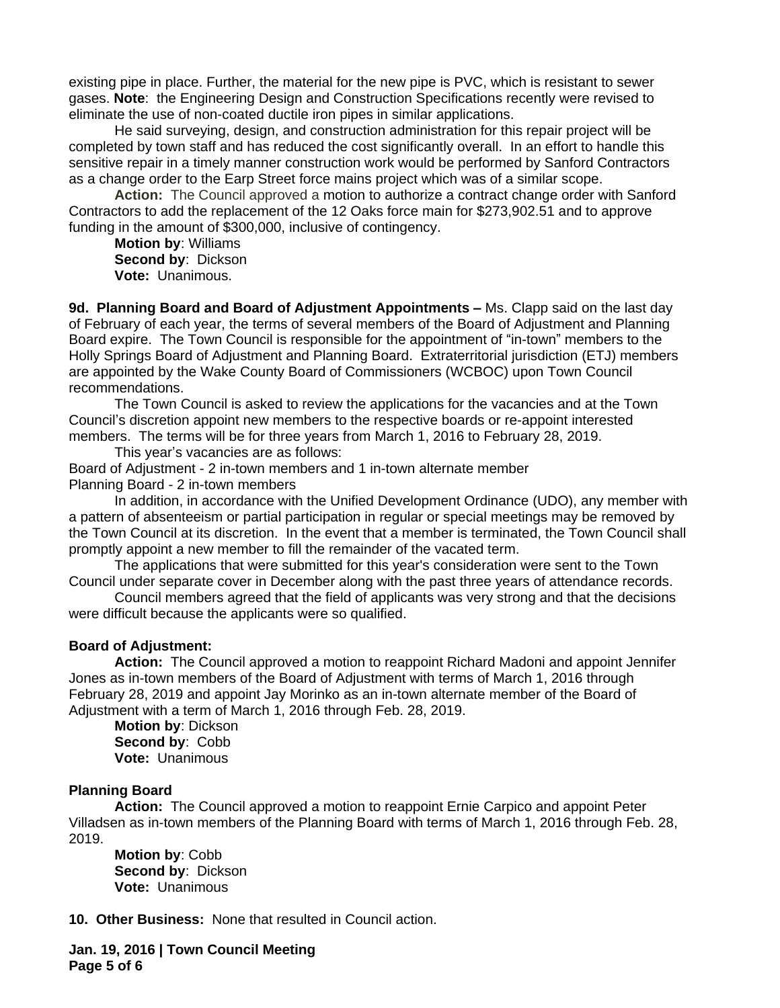existing pipe in place. Further, the material for the new pipe is PVC, which is resistant to sewer gases. **Note**: the Engineering Design and Construction Specifications recently were revised to eliminate the use of non-coated ductile iron pipes in similar applications.

He said surveying, design, and construction administration for this repair project will be completed by town staff and has reduced the cost significantly overall. In an effort to handle this sensitive repair in a timely manner construction work would be performed by Sanford Contractors as a change order to the Earp Street force mains project which was of a similar scope.

**Action:** The Council approved a motion to authorize a contract change order with Sanford Contractors to add the replacement of the 12 Oaks force main for \$273,902.51 and to approve funding in the amount of \$300,000, inclusive of contingency.

**Motion by**: Williams **Second by**: Dickson **Vote:** Unanimous.

**9d. Planning Board and Board of Adjustment Appointments –** Ms. Clapp said on the last day of February of each year, the terms of several members of the Board of Adjustment and Planning Board expire. The Town Council is responsible for the appointment of "in-town" members to the Holly Springs Board of Adjustment and Planning Board. Extraterritorial jurisdiction (ETJ) members are appointed by the Wake County Board of Commissioners (WCBOC) upon Town Council recommendations.

The Town Council is asked to review the applications for the vacancies and at the Town Council's discretion appoint new members to the respective boards or re-appoint interested members. The terms will be for three years from March 1, 2016 to February 28, 2019.

This year's vacancies are as follows:

Board of Adjustment - 2 in-town members and 1 in-town alternate member Planning Board - 2 in-town members

In addition, in accordance with the Unified Development Ordinance (UDO), any member with a pattern of absenteeism or partial participation in regular or special meetings may be removed by the Town Council at its discretion. In the event that a member is terminated, the Town Council shall promptly appoint a new member to fill the remainder of the vacated term.

The applications that were submitted for this year's consideration were sent to the Town Council under separate cover in December along with the past three years of attendance records.

Council members agreed that the field of applicants was very strong and that the decisions were difficult because the applicants were so qualified.

## **Board of Adjustment:**

**Action:** The Council approved a motion to reappoint Richard Madoni and appoint Jennifer Jones as in-town members of the Board of Adjustment with terms of March 1, 2016 through February 28, 2019 and appoint Jay Morinko as an in-town alternate member of the Board of Adjustment with a term of March 1, 2016 through Feb. 28, 2019.

**Motion by**: Dickson **Second by**: Cobb **Vote:** Unanimous

## **Planning Board**

**Action:** The Council approved a motion to reappoint Ernie Carpico and appoint Peter Villadsen as in-town members of the Planning Board with terms of March 1, 2016 through Feb. 28, 2019.

**Motion by**: Cobb **Second by**: Dickson **Vote:** Unanimous

**10. Other Business:** None that resulted in Council action.

**Jan. 19, 2016 | Town Council Meeting Page 5 of 6**